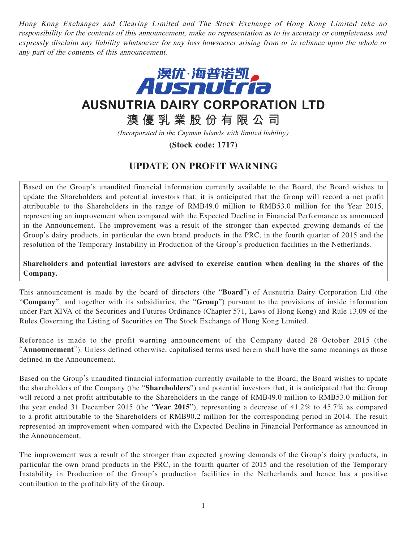Hong Kong Exchanges and Clearing Limited and The Stock Exchange of Hong Kong Limited take no responsibility for the contents of this announcement, make no representation as to its accuracy or completeness and expressly disclaim any liability whatsoever for any loss howsoever arising from or in reliance upon the whole or any part of the contents of this announcement.



## **AUSNUTRIA DAIRY CORPORATION LTD**

## **澳優乳業股份有限公司**

(Incorporated in the Cayman Islands with limited liability)

**(Stock code: 1717)**

## **UPDATE ON PROFIT WARNING**

Based on the Group's unaudited financial information currently available to the Board, the Board wishes to update the Shareholders and potential investors that, it is anticipated that the Group will record a net profit attributable to the Shareholders in the range of RMB49.0 million to RMB53.0 million for the Year 2015, representing an improvement when compared with the Expected Decline in Financial Performance as announced in the Announcement. The improvement was a result of the stronger than expected growing demands of the Group's dairy products, in particular the own brand products in the PRC, in the fourth quarter of 2015 and the resolution of the Temporary Instability in Production of the Group's production facilities in the Netherlands.

## **Shareholders and potential investors are advised to exercise caution when dealing in the shares of the Company.**

This announcement is made by the board of directors (the "**Board**") of Ausnutria Dairy Corporation Ltd (the "**Company**", and together with its subsidiaries, the "**Group**") pursuant to the provisions of inside information under Part XIVA of the Securities and Futures Ordinance (Chapter 571, Laws of Hong Kong) and Rule 13.09 of the Rules Governing the Listing of Securities on The Stock Exchange of Hong Kong Limited.

Reference is made to the profit warning announcement of the Company dated 28 October 2015 (the "**Announcement**"). Unless defined otherwise, capitalised terms used herein shall have the same meanings as those defined in the Announcement.

Based on the Group's unaudited financial information currently available to the Board, the Board wishes to update the shareholders of the Company (the "**Shareholders**") and potential investors that, it is anticipated that the Group will record a net profit attributable to the Shareholders in the range of RMB49.0 million to RMB53.0 million for the year ended 31 December 2015 (the "**Year 2015**"), representing a decrease of 41.2% to 45.7% as compared to a profit attributable to the Shareholders of RMB90.2 million for the corresponding period in 2014. The result represented an improvement when compared with the Expected Decline in Financial Performance as announced in the Announcement.

The improvement was a result of the stronger than expected growing demands of the Group's dairy products, in particular the own brand products in the PRC, in the fourth quarter of 2015 and the resolution of the Temporary Instability in Production of the Group's production facilities in the Netherlands and hence has a positive contribution to the profitability of the Group.